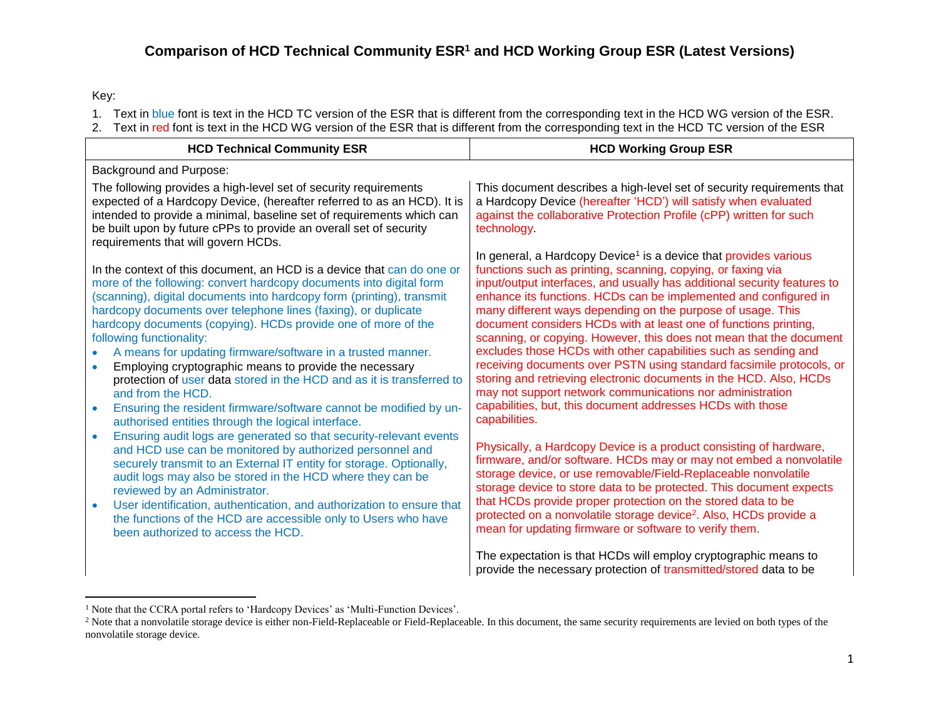Key:

 $\overline{a}$ 

- 1. Text in blue font is text in the HCD TC version of the ESR that is different from the corresponding text in the HCD WG version of the ESR.
- 2. Text in red font is text in the HCD WG version of the ESR that is different from the corresponding text in the HCD TC version of the ESR

| <b>HCD Technical Community ESR</b>                                                                                                                                                                                                                                                                                                                                                                                                                                                                                                                                                                                                                                                                                                                   | <b>HCD Working Group ESR</b>                                                                                                                                                                                                                                                                                                                                                                                                                                                                                                                                                                                                                                                                                                                                                                                                                                        |  |
|------------------------------------------------------------------------------------------------------------------------------------------------------------------------------------------------------------------------------------------------------------------------------------------------------------------------------------------------------------------------------------------------------------------------------------------------------------------------------------------------------------------------------------------------------------------------------------------------------------------------------------------------------------------------------------------------------------------------------------------------------|---------------------------------------------------------------------------------------------------------------------------------------------------------------------------------------------------------------------------------------------------------------------------------------------------------------------------------------------------------------------------------------------------------------------------------------------------------------------------------------------------------------------------------------------------------------------------------------------------------------------------------------------------------------------------------------------------------------------------------------------------------------------------------------------------------------------------------------------------------------------|--|
| Background and Purpose:                                                                                                                                                                                                                                                                                                                                                                                                                                                                                                                                                                                                                                                                                                                              |                                                                                                                                                                                                                                                                                                                                                                                                                                                                                                                                                                                                                                                                                                                                                                                                                                                                     |  |
| The following provides a high-level set of security requirements<br>expected of a Hardcopy Device, (hereafter referred to as an HCD). It is<br>intended to provide a minimal, baseline set of requirements which can<br>be built upon by future cPPs to provide an overall set of security<br>requirements that will govern HCDs.                                                                                                                                                                                                                                                                                                                                                                                                                    | This document describes a high-level set of security requirements that<br>a Hardcopy Device (hereafter 'HCD') will satisfy when evaluated<br>against the collaborative Protection Profile (cPP) written for such<br>technology                                                                                                                                                                                                                                                                                                                                                                                                                                                                                                                                                                                                                                      |  |
| In the context of this document, an HCD is a device that can do one or<br>more of the following: convert hardcopy documents into digital form<br>(scanning), digital documents into hardcopy form (printing), transmit<br>hardcopy documents over telephone lines (faxing), or duplicate<br>hardcopy documents (copying). HCDs provide one of more of the<br>following functionality:<br>A means for updating firmware/software in a trusted manner.<br>Employing cryptographic means to provide the necessary<br>protection of user data stored in the HCD and as it is transferred to<br>and from the HCD.<br>Ensuring the resident firmware/software cannot be modified by un-<br>$\bullet$<br>authorised entities through the logical interface. | In general, a Hardcopy Device <sup>1</sup> is a device that provides various<br>functions such as printing, scanning, copying, or faxing via<br>input/output interfaces, and usually has additional security features to<br>enhance its functions. HCDs can be implemented and configured in<br>many different ways depending on the purpose of usage. This<br>document considers HCDs with at least one of functions printing,<br>scanning, or copying. However, this does not mean that the document<br>excludes those HCDs with other capabilities such as sending and<br>receiving documents over PSTN using standard facsimile protocols, or<br>storing and retrieving electronic documents in the HCD. Also, HCDs<br>may not support network communications nor administration<br>capabilities, but, this document addresses HCDs with those<br>capabilities. |  |
| Ensuring audit logs are generated so that security-relevant events<br>$\bullet$<br>and HCD use can be monitored by authorized personnel and<br>securely transmit to an External IT entity for storage. Optionally,<br>audit logs may also be stored in the HCD where they can be<br>reviewed by an Administrator.<br>User identification, authentication, and authorization to ensure that<br>$\bullet$<br>the functions of the HCD are accessible only to Users who have<br>been authorized to access the HCD.                                                                                                                                                                                                                                      | Physically, a Hardcopy Device is a product consisting of hardware,<br>firmware, and/or software. HCDs may or may not embed a nonvolatile<br>storage device, or use removable/Field-Replaceable nonvolatile<br>storage device to store data to be protected. This document expects<br>that HCDs provide proper protection on the stored data to be<br>protected on a nonvolatile storage device <sup>2</sup> . Also, HCDs provide a<br>mean for updating firmware or software to verify them.                                                                                                                                                                                                                                                                                                                                                                        |  |
|                                                                                                                                                                                                                                                                                                                                                                                                                                                                                                                                                                                                                                                                                                                                                      | The expectation is that HCDs will employ cryptographic means to<br>provide the necessary protection of transmitted/stored data to be                                                                                                                                                                                                                                                                                                                                                                                                                                                                                                                                                                                                                                                                                                                                |  |

<sup>&</sup>lt;sup>1</sup> Note that the CCRA portal refers to 'Hardcopy Devices' as 'Multi-Function Devices'.

<sup>&</sup>lt;sup>2</sup> Note that a nonvolatile storage device is either non-Field-Replaceable or Field-Replaceable. In this document, the same security requirements are levied on both types of the nonvolatile storage device.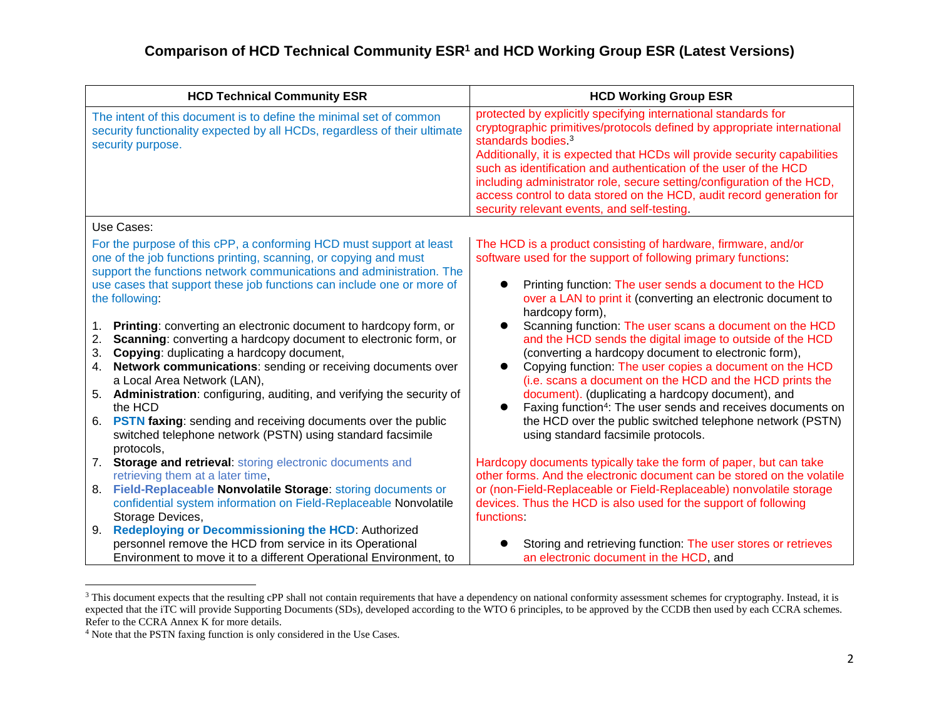| <b>HCD Technical Community ESR</b>                                                                                                                                                                                                                                                                                                                                                                                                                                                                                                          | <b>HCD Working Group ESR</b>                                                                                                                                                                                                                                                                                                                                                                                                                                                                                                                         |
|---------------------------------------------------------------------------------------------------------------------------------------------------------------------------------------------------------------------------------------------------------------------------------------------------------------------------------------------------------------------------------------------------------------------------------------------------------------------------------------------------------------------------------------------|------------------------------------------------------------------------------------------------------------------------------------------------------------------------------------------------------------------------------------------------------------------------------------------------------------------------------------------------------------------------------------------------------------------------------------------------------------------------------------------------------------------------------------------------------|
| The intent of this document is to define the minimal set of common<br>security functionality expected by all HCDs, regardless of their ultimate<br>security purpose.                                                                                                                                                                                                                                                                                                                                                                        | protected by explicitly specifying international standards for<br>cryptographic primitives/protocols defined by appropriate international<br>standards bodies. <sup>3</sup><br>Additionally, it is expected that HCDs will provide security capabilities<br>such as identification and authentication of the user of the HCD<br>including administrator role, secure setting/configuration of the HCD,<br>access control to data stored on the HCD, audit record generation for<br>security relevant events, and self-testing.                       |
| Use Cases:                                                                                                                                                                                                                                                                                                                                                                                                                                                                                                                                  |                                                                                                                                                                                                                                                                                                                                                                                                                                                                                                                                                      |
| For the purpose of this cPP, a conforming HCD must support at least<br>one of the job functions printing, scanning, or copying and must<br>support the functions network communications and administration. The<br>use cases that support these job functions can include one or more of<br>the following:                                                                                                                                                                                                                                  | The HCD is a product consisting of hardware, firmware, and/or<br>software used for the support of following primary functions:<br>Printing function: The user sends a document to the HCD<br>over a LAN to print it (converting an electronic document to<br>hardcopy form),                                                                                                                                                                                                                                                                         |
| Printing: converting an electronic document to hardcopy form, or<br>1.<br>Scanning: converting a hardcopy document to electronic form, or<br>2.<br>Copying: duplicating a hardcopy document,<br>3.<br>Network communications: sending or receiving documents over<br>4.<br>a Local Area Network (LAN),<br>5. Administration: configuring, auditing, and verifying the security of<br>the HCD<br>6. PSTN faxing: sending and receiving documents over the public<br>switched telephone network (PSTN) using standard facsimile<br>protocols, | Scanning function: The user scans a document on the HCD<br>and the HCD sends the digital image to outside of the HCD<br>(converting a hardcopy document to electronic form),<br>Copying function: The user copies a document on the HCD<br>$\bullet$<br>(i.e. scans a document on the HCD and the HCD prints the<br>document). (duplicating a hardcopy document), and<br>Faxing function <sup>4</sup> : The user sends and receives documents on<br>the HCD over the public switched telephone network (PSTN)<br>using standard facsimile protocols. |
| 7. Storage and retrieval: storing electronic documents and<br>retrieving them at a later time,                                                                                                                                                                                                                                                                                                                                                                                                                                              | Hardcopy documents typically take the form of paper, but can take<br>other forms. And the electronic document can be stored on the volatile                                                                                                                                                                                                                                                                                                                                                                                                          |
| Field-Replaceable Nonvolatile Storage: storing documents or<br>8.<br>confidential system information on Field-Replaceable Nonvolatile<br>Storage Devices,<br><b>Redeploying or Decommissioning the HCD: Authorized</b><br>9.                                                                                                                                                                                                                                                                                                                | or (non-Field-Replaceable or Field-Replaceable) nonvolatile storage<br>devices. Thus the HCD is also used for the support of following<br>functions:                                                                                                                                                                                                                                                                                                                                                                                                 |
| personnel remove the HCD from service in its Operational<br>Environment to move it to a different Operational Environment, to                                                                                                                                                                                                                                                                                                                                                                                                               | Storing and retrieving function: The user stores or retrieves<br>an electronic document in the HCD, and                                                                                                                                                                                                                                                                                                                                                                                                                                              |

<sup>&</sup>lt;sup>3</sup> This document expects that the resulting cPP shall not contain requirements that have a dependency on national conformity assessment schemes for cryptography. Instead, it is expected that the iTC will provide Supporting Documents (SDs), developed according to the WTO 6 principles, to be approved by the CCDB then used by each CCRA schemes. Refer to the CCRA Annex K for more details.

 $\overline{a}$ 

<sup>4</sup> Note that the PSTN faxing function is only considered in the Use Cases.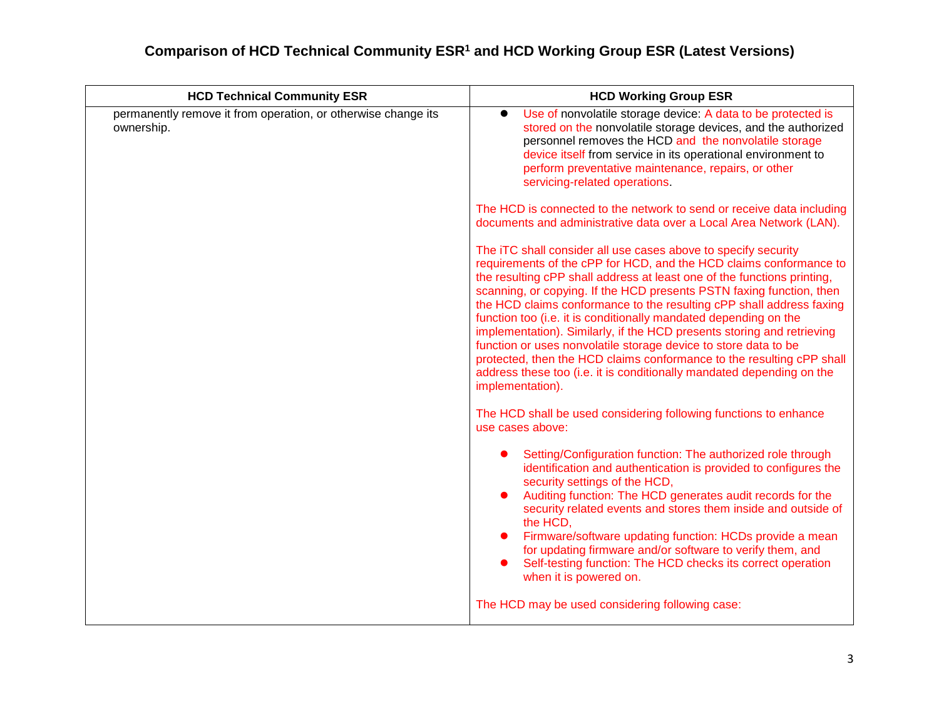| <b>HCD Technical Community ESR</b>                                          | <b>HCD Working Group ESR</b>                                                                                                                                                                                                                                                                                                                                                                                                                                                                                                                                                                                                                                                                                                                           |
|-----------------------------------------------------------------------------|--------------------------------------------------------------------------------------------------------------------------------------------------------------------------------------------------------------------------------------------------------------------------------------------------------------------------------------------------------------------------------------------------------------------------------------------------------------------------------------------------------------------------------------------------------------------------------------------------------------------------------------------------------------------------------------------------------------------------------------------------------|
| permanently remove it from operation, or otherwise change its<br>ownership. | Use of nonvolatile storage device: A data to be protected is<br>stored on the nonvolatile storage devices, and the authorized<br>personnel removes the HCD and the nonvolatile storage<br>device itself from service in its operational environment to<br>perform preventative maintenance, repairs, or other<br>servicing-related operations.                                                                                                                                                                                                                                                                                                                                                                                                         |
|                                                                             | The HCD is connected to the network to send or receive data including<br>documents and administrative data over a Local Area Network (LAN).                                                                                                                                                                                                                                                                                                                                                                                                                                                                                                                                                                                                            |
|                                                                             | The iTC shall consider all use cases above to specify security<br>requirements of the cPP for HCD, and the HCD claims conformance to<br>the resulting cPP shall address at least one of the functions printing,<br>scanning, or copying. If the HCD presents PSTN faxing function, then<br>the HCD claims conformance to the resulting cPP shall address faxing<br>function too (i.e. it is conditionally mandated depending on the<br>implementation). Similarly, if the HCD presents storing and retrieving<br>function or uses nonvolatile storage device to store data to be<br>protected, then the HCD claims conformance to the resulting cPP shall<br>address these too (i.e. it is conditionally mandated depending on the<br>implementation). |
|                                                                             | The HCD shall be used considering following functions to enhance<br>use cases above:                                                                                                                                                                                                                                                                                                                                                                                                                                                                                                                                                                                                                                                                   |
|                                                                             | Setting/Configuration function: The authorized role through<br>identification and authentication is provided to configures the<br>security settings of the HCD,<br>Auditing function: The HCD generates audit records for the<br>security related events and stores them inside and outside of<br>the HCD.<br>Firmware/software updating function: HCDs provide a mean<br>for updating firmware and/or software to verify them, and<br>Self-testing function: The HCD checks its correct operation<br>when it is powered on.                                                                                                                                                                                                                           |
|                                                                             | The HCD may be used considering following case:                                                                                                                                                                                                                                                                                                                                                                                                                                                                                                                                                                                                                                                                                                        |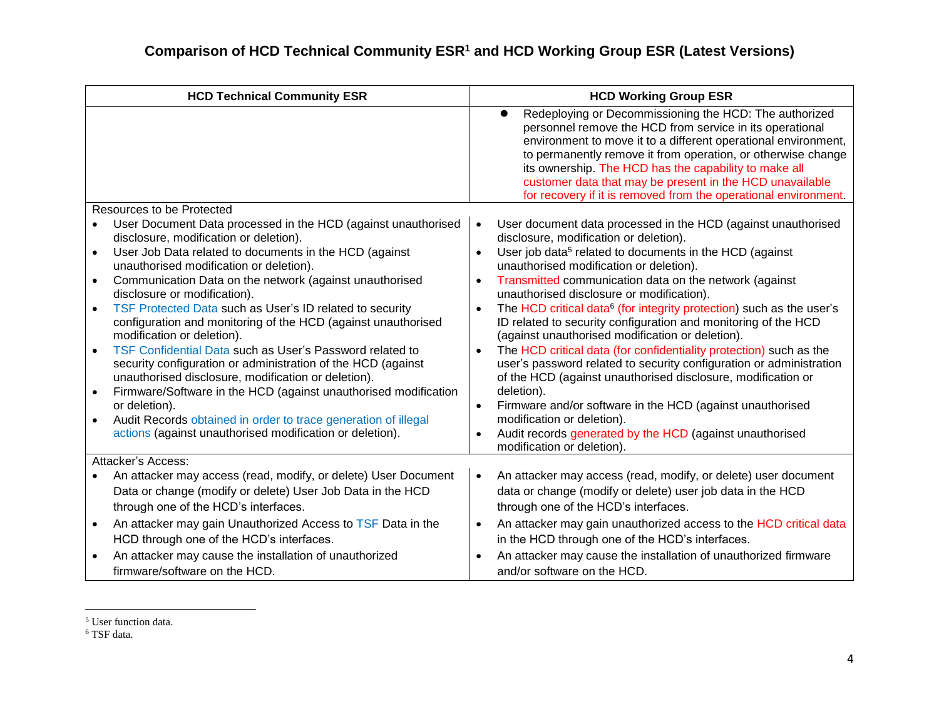| <b>HCD Technical Community ESR</b>                                                                                                                                              | <b>HCD Working Group ESR</b>                                                                                                                                                                                                                                                                                                                                                                                                                 |
|---------------------------------------------------------------------------------------------------------------------------------------------------------------------------------|----------------------------------------------------------------------------------------------------------------------------------------------------------------------------------------------------------------------------------------------------------------------------------------------------------------------------------------------------------------------------------------------------------------------------------------------|
|                                                                                                                                                                                 | Redeploying or Decommissioning the HCD: The authorized<br>personnel remove the HCD from service in its operational<br>environment to move it to a different operational environment,<br>to permanently remove it from operation, or otherwise change<br>its ownership. The HCD has the capability to make all<br>customer data that may be present in the HCD unavailable<br>for recovery if it is removed from the operational environment. |
| Resources to be Protected                                                                                                                                                       |                                                                                                                                                                                                                                                                                                                                                                                                                                              |
| User Document Data processed in the HCD (against unauthorised<br>disclosure, modification or deletion).                                                                         | User document data processed in the HCD (against unauthorised<br>$\bullet$<br>disclosure, modification or deletion).                                                                                                                                                                                                                                                                                                                         |
| User Job Data related to documents in the HCD (against<br>unauthorised modification or deletion).                                                                               | User job data <sup>5</sup> related to documents in the HCD (against<br>$\bullet$<br>unauthorised modification or deletion).                                                                                                                                                                                                                                                                                                                  |
| Communication Data on the network (against unauthorised<br>disclosure or modification).                                                                                         | Transmitted communication data on the network (against<br>$\bullet$<br>unauthorised disclosure or modification).                                                                                                                                                                                                                                                                                                                             |
| TSF Protected Data such as User's ID related to security<br>configuration and monitoring of the HCD (against unauthorised<br>modification or deletion).                         | The HCD critical data <sup>6</sup> (for integrity protection) such as the user's<br>ID related to security configuration and monitoring of the HCD<br>(against unauthorised modification or deletion).                                                                                                                                                                                                                                       |
| TSF Confidential Data such as User's Password related to<br>security configuration or administration of the HCD (against<br>unauthorised disclosure, modification or deletion). | The HCD critical data (for confidentiality protection) such as the<br>$\bullet$<br>user's password related to security configuration or administration<br>of the HCD (against unauthorised disclosure, modification or                                                                                                                                                                                                                       |
| Firmware/Software in the HCD (against unauthorised modification<br>$\bullet$<br>or deletion).                                                                                   | deletion).<br>Firmware and/or software in the HCD (against unauthorised<br>$\bullet$                                                                                                                                                                                                                                                                                                                                                         |
| Audit Records obtained in order to trace generation of illegal                                                                                                                  | modification or deletion).                                                                                                                                                                                                                                                                                                                                                                                                                   |
| actions (against unauthorised modification or deletion).                                                                                                                        | Audit records generated by the HCD (against unauthorised<br>modification or deletion)                                                                                                                                                                                                                                                                                                                                                        |
| Attacker's Access:                                                                                                                                                              |                                                                                                                                                                                                                                                                                                                                                                                                                                              |
| An attacker may access (read, modify, or delete) User Document                                                                                                                  | An attacker may access (read, modify, or delete) user document<br>٠                                                                                                                                                                                                                                                                                                                                                                          |
| Data or change (modify or delete) User Job Data in the HCD                                                                                                                      | data or change (modify or delete) user job data in the HCD                                                                                                                                                                                                                                                                                                                                                                                   |
| through one of the HCD's interfaces.                                                                                                                                            | through one of the HCD's interfaces.                                                                                                                                                                                                                                                                                                                                                                                                         |
| An attacker may gain Unauthorized Access to TSF Data in the<br>$\bullet$                                                                                                        | An attacker may gain unauthorized access to the HCD critical data<br>$\bullet$                                                                                                                                                                                                                                                                                                                                                               |
| HCD through one of the HCD's interfaces.                                                                                                                                        | in the HCD through one of the HCD's interfaces.                                                                                                                                                                                                                                                                                                                                                                                              |
| An attacker may cause the installation of unauthorized                                                                                                                          | An attacker may cause the installation of unauthorized firmware<br>$\bullet$                                                                                                                                                                                                                                                                                                                                                                 |
| firmware/software on the HCD.                                                                                                                                                   | and/or software on the HCD.                                                                                                                                                                                                                                                                                                                                                                                                                  |

 $\overline{a}$ <sup>5</sup> User function data.

<sup>6</sup> TSF data.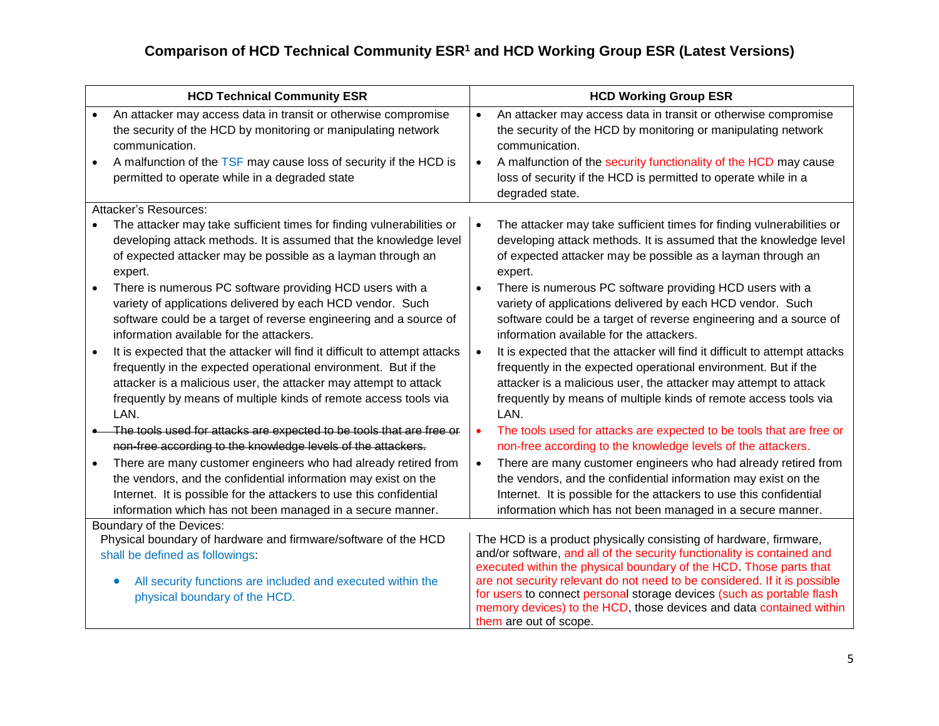|                        | <b>HCD Technical Community ESR</b>                                                                                                                                                                                                                                                           |                        | <b>HCD Working Group ESR</b>                                                                                                                                                                                                                                                                                                                                                                                                                                              |
|------------------------|----------------------------------------------------------------------------------------------------------------------------------------------------------------------------------------------------------------------------------------------------------------------------------------------|------------------------|---------------------------------------------------------------------------------------------------------------------------------------------------------------------------------------------------------------------------------------------------------------------------------------------------------------------------------------------------------------------------------------------------------------------------------------------------------------------------|
| $\bullet$<br>$\bullet$ | An attacker may access data in transit or otherwise compromise<br>the security of the HCD by monitoring or manipulating network<br>communication.<br>A malfunction of the TSF may cause loss of security if the HCD is<br>permitted to operate while in a degraded state                     | $\bullet$<br>$\bullet$ | An attacker may access data in transit or otherwise compromise<br>the security of the HCD by monitoring or manipulating network<br>communication.<br>A malfunction of the security functionality of the HCD may cause<br>loss of security if the HCD is permitted to operate while in a<br>degraded state.                                                                                                                                                                |
|                        | Attacker's Resources:                                                                                                                                                                                                                                                                        |                        |                                                                                                                                                                                                                                                                                                                                                                                                                                                                           |
|                        | The attacker may take sufficient times for finding vulnerabilities or<br>developing attack methods. It is assumed that the knowledge level<br>of expected attacker may be possible as a layman through an<br>expert.                                                                         | $\bullet$              | The attacker may take sufficient times for finding vulnerabilities or<br>developing attack methods. It is assumed that the knowledge level<br>of expected attacker may be possible as a layman through an<br>expert.                                                                                                                                                                                                                                                      |
| $\bullet$              | There is numerous PC software providing HCD users with a<br>variety of applications delivered by each HCD vendor. Such<br>software could be a target of reverse engineering and a source of<br>information available for the attackers.                                                      |                        | There is numerous PC software providing HCD users with a<br>variety of applications delivered by each HCD vendor. Such<br>software could be a target of reverse engineering and a source of<br>information available for the attackers.                                                                                                                                                                                                                                   |
| $\bullet$              | It is expected that the attacker will find it difficult to attempt attacks<br>frequently in the expected operational environment. But if the<br>attacker is a malicious user, the attacker may attempt to attack<br>frequently by means of multiple kinds of remote access tools via<br>LAN. | $\bullet$              | It is expected that the attacker will find it difficult to attempt attacks<br>frequently in the expected operational environment. But if the<br>attacker is a malicious user, the attacker may attempt to attack<br>frequently by means of multiple kinds of remote access tools via<br>LAN.                                                                                                                                                                              |
|                        | The tools used for attacks are expected to be tools that are free or<br>non-free according to the knowledge levels of the attackers.                                                                                                                                                         | $\bullet$              | The tools used for attacks are expected to be tools that are free or<br>non-free according to the knowledge levels of the attackers.                                                                                                                                                                                                                                                                                                                                      |
| $\bullet$              | There are many customer engineers who had already retired from<br>the vendors, and the confidential information may exist on the<br>Internet. It is possible for the attackers to use this confidential<br>information which has not been managed in a secure manner.                        | $\bullet$              | There are many customer engineers who had already retired from<br>the vendors, and the confidential information may exist on the<br>Internet. It is possible for the attackers to use this confidential<br>information which has not been managed in a secure manner.                                                                                                                                                                                                     |
|                        | Boundary of the Devices:<br>Physical boundary of hardware and firmware/software of the HCD<br>shall be defined as followings:<br>All security functions are included and executed within the<br>$\bullet$<br>physical boundary of the HCD.                                                   |                        | The HCD is a product physically consisting of hardware, firmware,<br>and/or software, and all of the security functionality is contained and<br>executed within the physical boundary of the HCD. Those parts that<br>are not security relevant do not need to be considered. If it is possible<br>for users to connect personal storage devices (such as portable flash<br>memory devices) to the HCD, those devices and data contained within<br>them are out of scope. |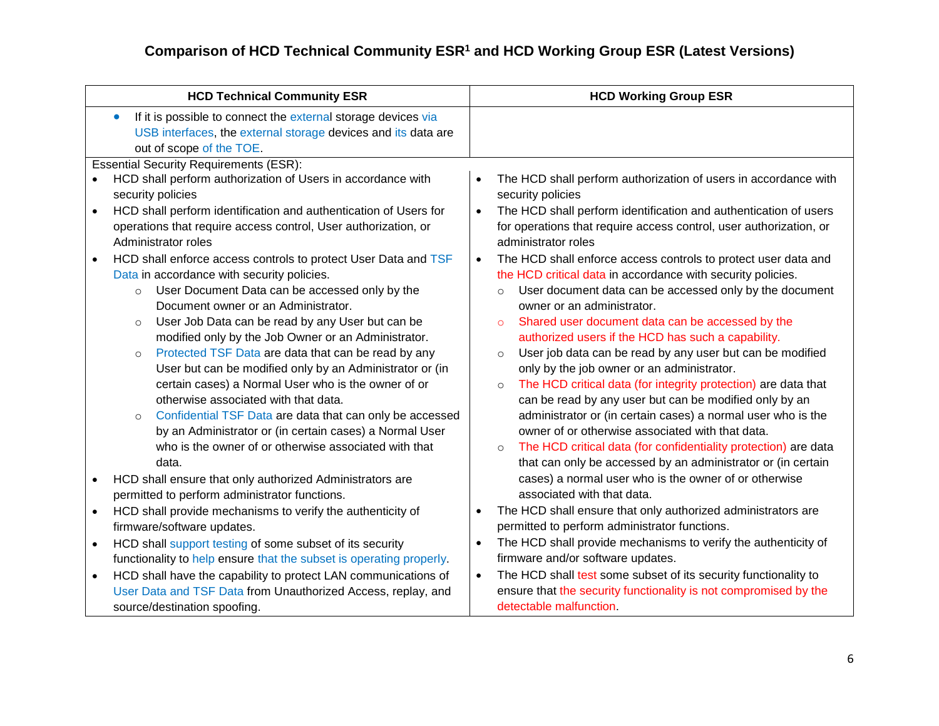| <b>HCD Technical Community ESR</b>                                                                                                                                                                                                                                                                                                                                                                                                                                                                                                                                                                                                                                                                                                                                          | <b>HCD Working Group ESR</b>                                                                                                                                                                                                                                                                                                                                                                                                                                                                                                                                                                                                                                                                                                                                                                                                       |
|-----------------------------------------------------------------------------------------------------------------------------------------------------------------------------------------------------------------------------------------------------------------------------------------------------------------------------------------------------------------------------------------------------------------------------------------------------------------------------------------------------------------------------------------------------------------------------------------------------------------------------------------------------------------------------------------------------------------------------------------------------------------------------|------------------------------------------------------------------------------------------------------------------------------------------------------------------------------------------------------------------------------------------------------------------------------------------------------------------------------------------------------------------------------------------------------------------------------------------------------------------------------------------------------------------------------------------------------------------------------------------------------------------------------------------------------------------------------------------------------------------------------------------------------------------------------------------------------------------------------------|
| If it is possible to connect the external storage devices via<br>$\bullet$<br>USB interfaces, the external storage devices and its data are<br>out of scope of the TOE.                                                                                                                                                                                                                                                                                                                                                                                                                                                                                                                                                                                                     |                                                                                                                                                                                                                                                                                                                                                                                                                                                                                                                                                                                                                                                                                                                                                                                                                                    |
| <b>Essential Security Requirements (ESR):</b>                                                                                                                                                                                                                                                                                                                                                                                                                                                                                                                                                                                                                                                                                                                               |                                                                                                                                                                                                                                                                                                                                                                                                                                                                                                                                                                                                                                                                                                                                                                                                                                    |
| HCD shall perform authorization of Users in accordance with<br>security policies                                                                                                                                                                                                                                                                                                                                                                                                                                                                                                                                                                                                                                                                                            | The HCD shall perform authorization of users in accordance with<br>$\bullet$<br>security policies                                                                                                                                                                                                                                                                                                                                                                                                                                                                                                                                                                                                                                                                                                                                  |
| HCD shall perform identification and authentication of Users for<br>$\bullet$                                                                                                                                                                                                                                                                                                                                                                                                                                                                                                                                                                                                                                                                                               | The HCD shall perform identification and authentication of users<br>$\bullet$                                                                                                                                                                                                                                                                                                                                                                                                                                                                                                                                                                                                                                                                                                                                                      |
| operations that require access control, User authorization, or<br>Administrator roles                                                                                                                                                                                                                                                                                                                                                                                                                                                                                                                                                                                                                                                                                       | for operations that require access control, user authorization, or<br>administrator roles                                                                                                                                                                                                                                                                                                                                                                                                                                                                                                                                                                                                                                                                                                                                          |
| HCD shall enforce access controls to protect User Data and TSF<br>$\bullet$<br>Data in accordance with security policies.<br>User Document Data can be accessed only by the<br>$\circ$<br>Document owner or an Administrator.<br>User Job Data can be read by any User but can be<br>$\circ$<br>modified only by the Job Owner or an Administrator.<br>Protected TSF Data are data that can be read by any<br>$\circ$<br>User but can be modified only by an Administrator or (in<br>certain cases) a Normal User who is the owner of or<br>otherwise associated with that data.<br>Confidential TSF Data are data that can only be accessed<br>$\circ$<br>by an Administrator or (in certain cases) a Normal User<br>who is the owner of or otherwise associated with that | The HCD shall enforce access controls to protect user data and<br>$\bullet$<br>the HCD critical data in accordance with security policies.<br>User document data can be accessed only by the document<br>$\circ$<br>owner or an administrator.<br>Shared user document data can be accessed by the<br>$\circ$<br>authorized users if the HCD has such a capability.<br>User job data can be read by any user but can be modified<br>$\circ$<br>only by the job owner or an administrator.<br>The HCD critical data (for integrity protection) are data that<br>$\circ$<br>can be read by any user but can be modified only by an<br>administrator or (in certain cases) a normal user who is the<br>owner of or otherwise associated with that data.<br>The HCD critical data (for confidentiality protection) are data<br>$\circ$ |
| data.                                                                                                                                                                                                                                                                                                                                                                                                                                                                                                                                                                                                                                                                                                                                                                       | that can only be accessed by an administrator or (in certain                                                                                                                                                                                                                                                                                                                                                                                                                                                                                                                                                                                                                                                                                                                                                                       |
| HCD shall ensure that only authorized Administrators are<br>$\bullet$                                                                                                                                                                                                                                                                                                                                                                                                                                                                                                                                                                                                                                                                                                       | cases) a normal user who is the owner of or otherwise                                                                                                                                                                                                                                                                                                                                                                                                                                                                                                                                                                                                                                                                                                                                                                              |
| permitted to perform administrator functions.                                                                                                                                                                                                                                                                                                                                                                                                                                                                                                                                                                                                                                                                                                                               | associated with that data.                                                                                                                                                                                                                                                                                                                                                                                                                                                                                                                                                                                                                                                                                                                                                                                                         |
| HCD shall provide mechanisms to verify the authenticity of<br>$\bullet$                                                                                                                                                                                                                                                                                                                                                                                                                                                                                                                                                                                                                                                                                                     | The HCD shall ensure that only authorized administrators are<br>$\bullet$                                                                                                                                                                                                                                                                                                                                                                                                                                                                                                                                                                                                                                                                                                                                                          |
| firmware/software updates.                                                                                                                                                                                                                                                                                                                                                                                                                                                                                                                                                                                                                                                                                                                                                  | permitted to perform administrator functions.                                                                                                                                                                                                                                                                                                                                                                                                                                                                                                                                                                                                                                                                                                                                                                                      |
| HCD shall support testing of some subset of its security<br>$\bullet$                                                                                                                                                                                                                                                                                                                                                                                                                                                                                                                                                                                                                                                                                                       | The HCD shall provide mechanisms to verify the authenticity of<br>$\bullet$                                                                                                                                                                                                                                                                                                                                                                                                                                                                                                                                                                                                                                                                                                                                                        |
| functionality to help ensure that the subset is operating properly.                                                                                                                                                                                                                                                                                                                                                                                                                                                                                                                                                                                                                                                                                                         | firmware and/or software updates.                                                                                                                                                                                                                                                                                                                                                                                                                                                                                                                                                                                                                                                                                                                                                                                                  |
| HCD shall have the capability to protect LAN communications of<br>$\bullet$                                                                                                                                                                                                                                                                                                                                                                                                                                                                                                                                                                                                                                                                                                 | The HCD shall test some subset of its security functionality to<br>$\bullet$                                                                                                                                                                                                                                                                                                                                                                                                                                                                                                                                                                                                                                                                                                                                                       |
| User Data and TSF Data from Unauthorized Access, replay, and                                                                                                                                                                                                                                                                                                                                                                                                                                                                                                                                                                                                                                                                                                                | ensure that the security functionality is not compromised by the                                                                                                                                                                                                                                                                                                                                                                                                                                                                                                                                                                                                                                                                                                                                                                   |
| source/destination spoofing.                                                                                                                                                                                                                                                                                                                                                                                                                                                                                                                                                                                                                                                                                                                                                | detectable malfunction.                                                                                                                                                                                                                                                                                                                                                                                                                                                                                                                                                                                                                                                                                                                                                                                                            |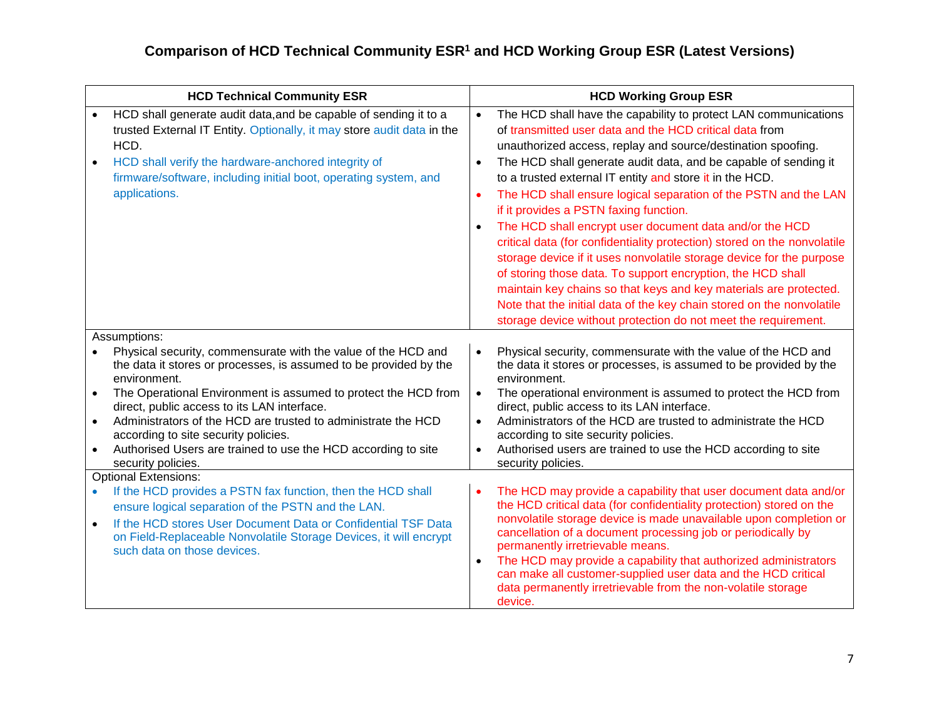| <b>HCD Technical Community ESR</b>                                                                                                                                                                                                                                                                                                                                                                                                                                                  | <b>HCD Working Group ESR</b>                                                                                                                                                                                                                                                                                                                                                                                                                                                                                                                                                                                                                                                                                                                                                                                                                                                                                                                                                |
|-------------------------------------------------------------------------------------------------------------------------------------------------------------------------------------------------------------------------------------------------------------------------------------------------------------------------------------------------------------------------------------------------------------------------------------------------------------------------------------|-----------------------------------------------------------------------------------------------------------------------------------------------------------------------------------------------------------------------------------------------------------------------------------------------------------------------------------------------------------------------------------------------------------------------------------------------------------------------------------------------------------------------------------------------------------------------------------------------------------------------------------------------------------------------------------------------------------------------------------------------------------------------------------------------------------------------------------------------------------------------------------------------------------------------------------------------------------------------------|
| HCD shall generate audit data, and be capable of sending it to a<br>trusted External IT Entity. Optionally, it may store audit data in the<br>HCD.<br>HCD shall verify the hardware-anchored integrity of<br>firmware/software, including initial boot, operating system, and<br>applications.                                                                                                                                                                                      | The HCD shall have the capability to protect LAN communications<br>$\bullet$<br>of transmitted user data and the HCD critical data from<br>unauthorized access, replay and source/destination spoofing.<br>The HCD shall generate audit data, and be capable of sending it<br>$\bullet$<br>to a trusted external IT entity and store it in the HCD.<br>The HCD shall ensure logical separation of the PSTN and the LAN<br>$\bullet$<br>if it provides a PSTN faxing function.<br>The HCD shall encrypt user document data and/or the HCD<br>critical data (for confidentiality protection) stored on the nonvolatile<br>storage device if it uses nonvolatile storage device for the purpose<br>of storing those data. To support encryption, the HCD shall<br>maintain key chains so that keys and key materials are protected.<br>Note that the initial data of the key chain stored on the nonvolatile<br>storage device without protection do not meet the requirement. |
| Assumptions:<br>Physical security, commensurate with the value of the HCD and<br>the data it stores or processes, is assumed to be provided by the<br>environment.<br>The Operational Environment is assumed to protect the HCD from<br>direct, public access to its LAN interface.<br>Administrators of the HCD are trusted to administrate the HCD<br>according to site security policies.<br>Authorised Users are trained to use the HCD according to site<br>security policies. | Physical security, commensurate with the value of the HCD and<br>the data it stores or processes, is assumed to be provided by the<br>environment.<br>The operational environment is assumed to protect the HCD from<br>$\bullet$<br>direct, public access to its LAN interface.<br>Administrators of the HCD are trusted to administrate the HCD<br>$\bullet$<br>according to site security policies.<br>Authorised users are trained to use the HCD according to site<br>$\bullet$<br>security policies.                                                                                                                                                                                                                                                                                                                                                                                                                                                                  |
| <b>Optional Extensions:</b><br>If the HCD provides a PSTN fax function, then the HCD shall<br>ensure logical separation of the PSTN and the LAN.<br>If the HCD stores User Document Data or Confidential TSF Data<br>on Field-Replaceable Nonvolatile Storage Devices, it will encrypt<br>such data on those devices.                                                                                                                                                               | The HCD may provide a capability that user document data and/or<br>the HCD critical data (for confidentiality protection) stored on the<br>nonvolatile storage device is made unavailable upon completion or<br>cancellation of a document processing job or periodically by<br>permanently irretrievable means.<br>The HCD may provide a capability that authorized administrators<br>$\bullet$<br>can make all customer-supplied user data and the HCD critical<br>data permanently irretrievable from the non-volatile storage<br>device.                                                                                                                                                                                                                                                                                                                                                                                                                                |